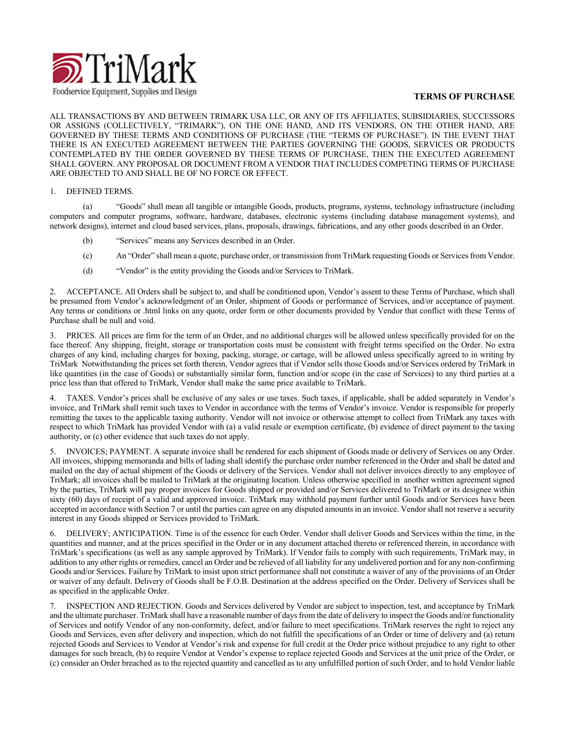

## **TERMS OF PURCHASE**

ALL TRANSACTIONS BY AND BETWEEN TRIMARK USA LLC, OR ANY OF ITS AFFILIATES, SUBSIDIARIES, SUCCESSORS OR ASSIGNS (COLLECTIVELY, "TRIMARK"), ON THE ONE HAND, AND ITS VENDORS, ON THE OTHER HAND, ARE GOVERNED BY THESE TERMS AND CONDITIONS OF PURCHASE (THE "TERMS OF PURCHASE"). IN THE EVENT THAT THERE IS AN EXECUTED AGREEMENT BETWEEN THE PARTIES GOVERNING THE GOODS, SERVICES OR PRODUCTS CONTEMPLATED BY THE ORDER GOVERNED BY THESE TERMS OF PURCHASE, THEN THE EXECUTED AGREEMENT SHALL GOVERN. ANY PROPOSAL OR DOCUMENT FROM A VENDOR THAT INCLUDES COMPETING TERMS OF PURCHASE ARE OBJECTED TO AND SHALL BE OF NO FORCE OR EFFECT.

## 1. DEFINED TERMS.

(a) "Goods" shall mean all tangible or intangible Goods, products, programs, systems, technology infrastructure (including computers and computer programs, software, hardware, databases, electronic systems (including database management systems), and network designs), internet and cloud based services, plans, proposals, drawings, fabrications, and any other goods described in an Order.

- (b) "Services" means any Services described in an Order.
- (c) An "Order" shall mean a quote, purchase order, or transmission from TriMark requesting Goods or Services from Vendor.
- (d) "Vendor" is the entity providing the Goods and/or Services to TriMark.

2. ACCEPTANCE. All Orders shall be subject to, and shall be conditioned upon, Vendor's assent to these Terms of Purchase, which shall be presumed from Vendor's acknowledgment of an Order, shipment of Goods or performance of Services, and/or acceptance of payment. Any terms or conditions or .html links on any quote, order form or other documents provided by Vendor that conflict with these Terms of Purchase shall be null and void.

3. PRICES. All prices are firm for the term of an Order, and no additional charges will be allowed unless specifically provided for on the face thereof. Any shipping, freight, storage or transportation costs must be consistent with freight terms specified on the Order. No extra charges of any kind, including charges for boxing, packing, storage, or cartage, will be allowed unless specifically agreed to in writing by TriMark Notwithstanding the prices set forth therein, Vendor agrees that if Vendor sells those Goods and/or Services ordered by TriMark in like quantities (in the case of Goods) or substantially similar form, function and/or scope (in the case of Services) to any third parties at a price less than that offered to TriMark, Vendor shall make the same price available to TriMark.

4. TAXES. Vendor's prices shall be exclusive of any sales or use taxes. Such taxes, if applicable, shall be added separately in Vendor's invoice, and TriMark shall remit such taxes to Vendor in accordance with the terms of Vendor's invoice. Vendor is responsible for properly remitting the taxes to the applicable taxing authority. Vendor will not invoice or otherwise attempt to collect from TriMark any taxes with respect to which TriMark has provided Vendor with (a) a valid resale or exemption certificate, (b) evidence of direct payment to the taxing authority, or (c) other evidence that such taxes do not apply.

5. INVOICES; PAYMENT. A separate invoice shall be rendered for each shipment of Goods made or delivery of Services on any Order. All invoices, shipping memoranda and bills of lading shall identify the purchase order number referenced in the Order and shall be dated and mailed on the day of actual shipment of the Goods or delivery of the Services. Vendor shall not deliver invoices directly to any employee of TriMark; all invoices shall be mailed to TriMark at the originating location. Unless otherwise specified in another written agreement signed by the parties, TriMark will pay proper invoices for Goods shipped or provided and/or Services delivered to TriMark or its designee within sixty (60) days of receipt of a valid and approved invoice. TriMark may withhold payment further until Goods and/or Services have been accepted in accordance with Section 7 or until the parties can agree on any disputed amounts in an invoice. Vendor shall not reserve a security interest in any Goods shipped or Services provided to TriMark.

6. DELIVERY; ANTICIPATION. Time is of the essence for each Order. Vendor shall deliver Goods and Services within the time, in the quantities and manner, and at the prices specified in the Order or in any document attached thereto or referenced therein, in accordance with TriMark's specifications (as well as any sample approved by TriMark). If Vendor fails to comply with such requirements, TriMark may, in addition to any other rights or remedies, cancel an Order and be relieved of all liability for any undelivered portion and for any non-confirming Goods and/or Services. Failure by TriMark to insist upon strict performance shall not constitute a waiver of any of the provisions of an Order or waiver of any default. Delivery of Goods shall be F.O.B. Destination at the address specified on the Order. Delivery of Services shall be as specified in the applicable Order.

7. INSPECTION AND REJECTION. Goods and Services delivered by Vendor are subject to inspection, test, and acceptance by TriMark and the ultimate purchaser. TriMark shall have a reasonable number of days from the date of delivery to inspect the Goods and/or functionality of Services and notify Vendor of any non-conformity, defect, and/or failure to meet specifications. TriMark reserves the right to reject any Goods and Services, even after delivery and inspection, which do not fulfill the specifications of an Order or time of delivery and (a) return rejected Goods and Services to Vendor at Vendor's risk and expense for full credit at the Order price without prejudice to any right to other damages for such breach, (b) to require Vendor at Vendor's expense to replace rejected Goods and Services at the unit price of the Order, or (c) consider an Order breached as to the rejected quantity and cancelled as to any unfulfilled portion of such Order, and to hold Vendor liable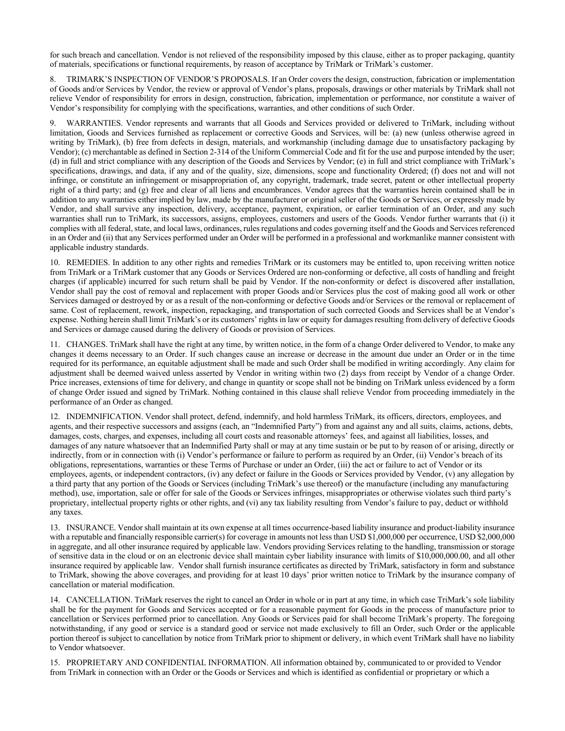for such breach and cancellation. Vendor is not relieved of the responsibility imposed by this clause, either as to proper packaging, quantity of materials, specifications or functional requirements, by reason of acceptance by TriMark or TriMark's customer.

8. TRIMARK'S INSPECTION OF VENDOR'S PROPOSALS. If an Order covers the design, construction, fabrication or implementation of Goods and/or Services by Vendor, the review or approval of Vendor's plans, proposals, drawings or other materials by TriMark shall not relieve Vendor of responsibility for errors in design, construction, fabrication, implementation or performance, nor constitute a waiver of Vendor's responsibility for complying with the specifications, warranties, and other conditions of such Order.

9. WARRANTIES. Vendor represents and warrants that all Goods and Services provided or delivered to TriMark, including without limitation, Goods and Services furnished as replacement or corrective Goods and Services, will be: (a) new (unless otherwise agreed in writing by TriMark), (b) free from defects in design, materials, and workmanship (including damage due to unsatisfactory packaging by Vendor); (c) merchantable as defined in Section 2-314 of the Uniform Commercial Code and fit for the use and purpose intended by the user; (d) in full and strict compliance with any description of the Goods and Services by Vendor; (e) in full and strict compliance with TriMark's specifications, drawings, and data, if any and of the quality, size, dimensions, scope and functionality Ordered; (f) does not and will not infringe, or constitute an infringement or misappropriation of, any copyright, trademark, trade secret, patent or other intellectual property right of a third party; and (g) free and clear of all liens and encumbrances. Vendor agrees that the warranties herein contained shall be in addition to any warranties either implied by law, made by the manufacturer or original seller of the Goods or Services, or expressly made by Vendor, and shall survive any inspection, delivery, acceptance, payment, expiration, or earlier termination of an Order, and any such warranties shall run to TriMark, its successors, assigns, employees, customers and users of the Goods. Vendor further warrants that (i) it complies with all federal, state, and local laws, ordinances, rules regulations and codes governing itself and the Goods and Servicesreferenced in an Order and (ii) that any Services performed under an Order will be performed in a professional and workmanlike manner consistent with applicable industry standards.

10. REMEDIES. In addition to any other rights and remedies TriMark or its customers may be entitled to, upon receiving written notice from TriMark or a TriMark customer that any Goods or Services Ordered are non-conforming or defective, all costs of handling and freight charges (if applicable) incurred for such return shall be paid by Vendor. If the non-conformity or defect is discovered after installation, Vendor shall pay the cost of removal and replacement with proper Goods and/or Services plus the cost of making good all work or other Services damaged or destroyed by or as a result of the non-conforming or defective Goods and/or Services or the removal or replacement of same. Cost of replacement, rework, inspection, repackaging, and transportation of such corrected Goods and Services shall be at Vendor's expense. Nothing herein shall limit TriMark's or its customers' rights in law or equity for damages resulting from delivery of defective Goods and Services or damage caused during the delivery of Goods or provision of Services.

11. CHANGES. TriMark shall have the right at any time, by written notice, in the form of a change Order delivered to Vendor, to make any changes it deems necessary to an Order. If such changes cause an increase or decrease in the amount due under an Order or in the time required for its performance, an equitable adjustment shall be made and such Order shall be modified in writing accordingly. Any claim for adjustment shall be deemed waived unless asserted by Vendor in writing within two (2) days from receipt by Vendor of a change Order. Price increases, extensions of time for delivery, and change in quantity or scope shall not be binding on TriMark unless evidenced by a form of change Order issued and signed by TriMark. Nothing contained in this clause shall relieve Vendor from proceeding immediately in the performance of an Order as changed.

12. INDEMNIFICATION. Vendor shall protect, defend, indemnify, and hold harmless TriMark, its officers, directors, employees, and agents, and their respective successors and assigns (each, an "Indemnified Party") from and against any and all suits, claims, actions, debts, damages, costs, charges, and expenses, including all court costs and reasonable attorneys' fees, and against all liabilities, losses, and damages of any nature whatsoever that an Indemnified Party shall or may at any time sustain or be put to by reason of or arising, directly or indirectly, from or in connection with (i) Vendor's performance or failure to perform as required by an Order, (ii) Vendor's breach of its obligations, representations, warranties or these Terms of Purchase or under an Order, (iii) the act or failure to act of Vendor or its employees, agents, or independent contractors, (iv) any defect or failure in the Goods or Services provided by Vendor, (v) any allegation by a third party that any portion of the Goods or Services (including TriMark's use thereof) or the manufacture (including any manufacturing method), use, importation, sale or offer for sale of the Goods or Services infringes, misappropriates or otherwise violates such third party's proprietary, intellectual property rights or other rights, and (vi) any tax liability resulting from Vendor's failure to pay, deduct or withhold any taxes.

13. INSURANCE. Vendor shall maintain at its own expense at all times occurrence-based liability insurance and product-liability insurance with a reputable and financially responsible carrier(s) for coverage in amounts not less than USD \$1,000,000 per occurrence, USD \$2,000,000 in aggregate, and all other insurance required by applicable law. Vendors providing Services relating to the handling, transmission or storage of sensitive data in the cloud or on an electronic device shall maintain cyber liability insurance with limits of \$10,000,000.00, and all other insurance required by applicable law. Vendor shall furnish insurance certificates as directed by TriMark, satisfactory in form and substance to TriMark, showing the above coverages, and providing for at least 10 days' prior written notice to TriMark by the insurance company of cancellation or material modification.

14. CANCELLATION. TriMark reserves the right to cancel an Order in whole or in part at any time, in which case TriMark's sole liability shall be for the payment for Goods and Services accepted or for a reasonable payment for Goods in the process of manufacture prior to cancellation or Services performed prior to cancellation. Any Goods or Services paid for shall become TriMark's property. The foregoing notwithstanding, if any good or service is a standard good or service not made exclusively to fill an Order, such Order or the applicable portion thereof is subject to cancellation by notice from TriMark prior to shipment or delivery, in which event TriMark shall have no liability to Vendor whatsoever.

15. PROPRIETARY AND CONFIDENTIAL INFORMATION. All information obtained by, communicated to or provided to Vendor from TriMark in connection with an Order or the Goods or Services and which is identified as confidential or proprietary or which a